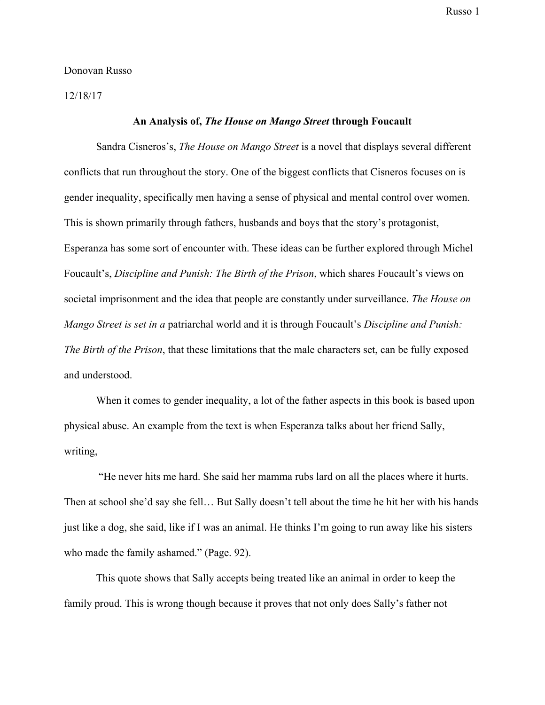Donovan Russo

12/18/17

## **An Analysis of,** *The House on Mango Street* **through Foucault**

Sandra Cisneros's, *The House on Mango Street* is a novel that displays several different conflicts that run throughout the story. One of the biggest conflicts that Cisneros focuses on is gender inequality, specifically men having a sense of physical and mental control over women. This is shown primarily through fathers, husbands and boys that the story's protagonist, Esperanza has some sort of encounter with. These ideas can be further explored through Michel Foucault's, *Discipline and Punish: The Birth of the Prison*, which shares Foucault's views on societal imprisonment and the idea that people are constantly under surveillance. *The House on Mango Street is set in a* patriarchal world and it is through Foucault's *Discipline and Punish: The Birth of the Prison*, that these limitations that the male characters set, can be fully exposed and understood.

When it comes to gender inequality, a lot of the father aspects in this book is based upon physical abuse. An example from the text is when Esperanza talks about her friend Sally, writing,

 "He never hits me hard. She said her mamma rubs lard on all the places where it hurts. Then at school she'd say she fell… But Sally doesn't tell about the time he hit her with his hands just like a dog, she said, like if I was an animal. He thinks I'm going to run away like his sisters who made the family ashamed." (Page. 92).

This quote shows that Sally accepts being treated like an animal in order to keep the family proud. This is wrong though because it proves that not only does Sally's father not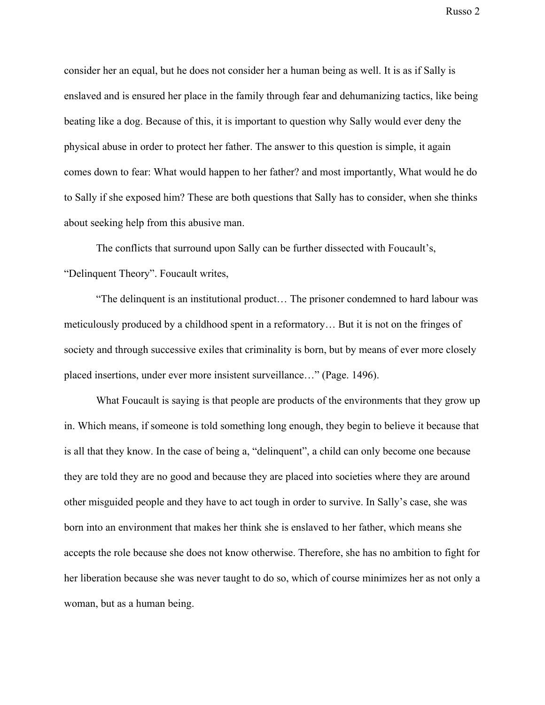consider her an equal, but he does not consider her a human being as well. It is as if Sally is enslaved and is ensured her place in the family through fear and dehumanizing tactics, like being beating like a dog. Because of this, it is important to question why Sally would ever deny the physical abuse in order to protect her father. The answer to this question is simple, it again comes down to fear: What would happen to her father? and most importantly, What would he do to Sally if she exposed him? These are both questions that Sally has to consider, when she thinks about seeking help from this abusive man.

The conflicts that surround upon Sally can be further dissected with Foucault's, "Delinquent Theory". Foucault writes,

"The delinquent is an institutional product… The prisoner condemned to hard labour was meticulously produced by a childhood spent in a reformatory… But it is not on the fringes of society and through successive exiles that criminality is born, but by means of ever more closely placed insertions, under ever more insistent surveillance…" (Page. 1496).

What Foucault is saying is that people are products of the environments that they grow up in. Which means, if someone is told something long enough, they begin to believe it because that is all that they know. In the case of being a, "delinquent", a child can only become one because they are told they are no good and because they are placed into societies where they are around other misguided people and they have to act tough in order to survive. In Sally's case, she was born into an environment that makes her think she is enslaved to her father, which means she accepts the role because she does not know otherwise. Therefore, she has no ambition to fight for her liberation because she was never taught to do so, which of course minimizes her as not only a woman, but as a human being.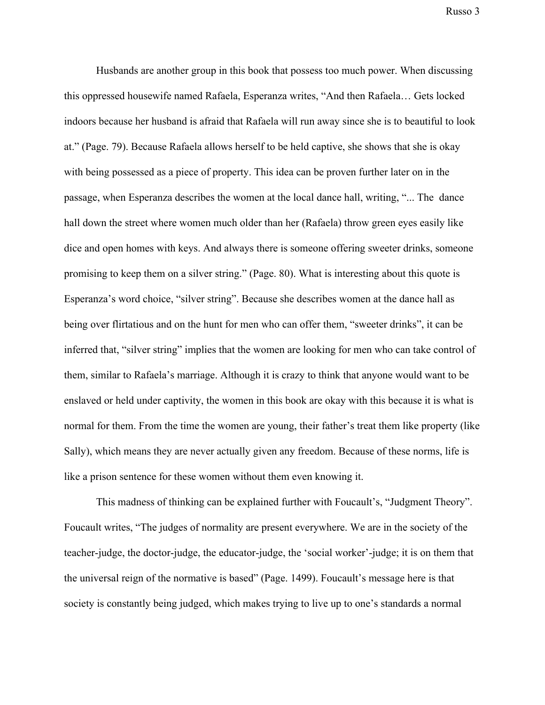Husbands are another group in this book that possess too much power. When discussing this oppressed housewife named Rafaela, Esperanza writes, "And then Rafaela… Gets locked indoors because her husband is afraid that Rafaela will run away since she is to beautiful to look at." (Page. 79). Because Rafaela allows herself to be held captive, she shows that she is okay with being possessed as a piece of property. This idea can be proven further later on in the passage, when Esperanza describes the women at the local dance hall, writing, "... The dance hall down the street where women much older than her (Rafaela) throw green eyes easily like dice and open homes with keys. And always there is someone offering sweeter drinks, someone promising to keep them on a silver string." (Page. 80). What is interesting about this quote is Esperanza's word choice, "silver string". Because she describes women at the dance hall as being over flirtatious and on the hunt for men who can offer them, "sweeter drinks", it can be inferred that, "silver string" implies that the women are looking for men who can take control of them, similar to Rafaela's marriage. Although it is crazy to think that anyone would want to be enslaved or held under captivity, the women in this book are okay with this because it is what is normal for them. From the time the women are young, their father's treat them like property (like Sally), which means they are never actually given any freedom. Because of these norms, life is like a prison sentence for these women without them even knowing it.

This madness of thinking can be explained further with Foucault's, "Judgment Theory". Foucault writes, "The judges of normality are present everywhere. We are in the society of the teacher-judge, the doctor-judge, the educator-judge, the 'social worker'-judge; it is on them that the universal reign of the normative is based" (Page. 1499). Foucault's message here is that society is constantly being judged, which makes trying to live up to one's standards a normal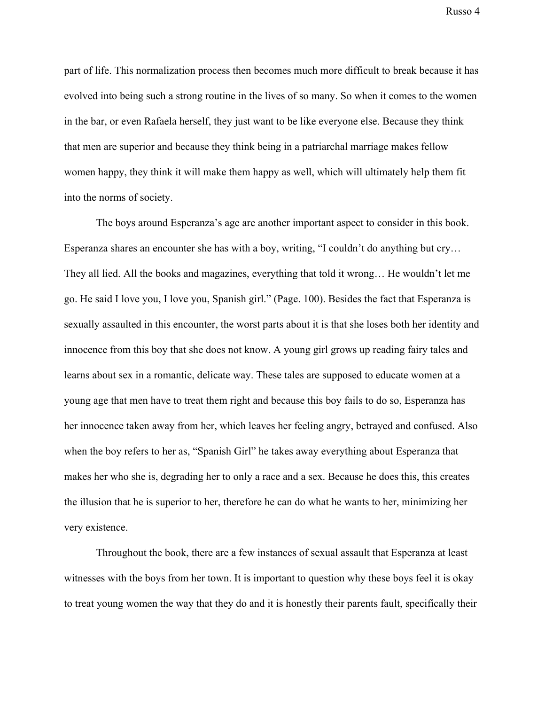part of life. This normalization process then becomes much more difficult to break because it has evolved into being such a strong routine in the lives of so many. So when it comes to the women in the bar, or even Rafaela herself, they just want to be like everyone else. Because they think that men are superior and because they think being in a patriarchal marriage makes fellow women happy, they think it will make them happy as well, which will ultimately help them fit into the norms of society.

The boys around Esperanza's age are another important aspect to consider in this book. Esperanza shares an encounter she has with a boy, writing, "I couldn't do anything but cry… They all lied. All the books and magazines, everything that told it wrong… He wouldn't let me go. He said I love you, I love you, Spanish girl." (Page. 100). Besides the fact that Esperanza is sexually assaulted in this encounter, the worst parts about it is that she loses both her identity and innocence from this boy that she does not know. A young girl grows up reading fairy tales and learns about sex in a romantic, delicate way. These tales are supposed to educate women at a young age that men have to treat them right and because this boy fails to do so, Esperanza has her innocence taken away from her, which leaves her feeling angry, betrayed and confused. Also when the boy refers to her as, "Spanish Girl" he takes away everything about Esperanza that makes her who she is, degrading her to only a race and a sex. Because he does this, this creates the illusion that he is superior to her, therefore he can do what he wants to her, minimizing her very existence.

Throughout the book, there are a few instances of sexual assault that Esperanza at least witnesses with the boys from her town. It is important to question why these boys feel it is okay to treat young women the way that they do and it is honestly their parents fault, specifically their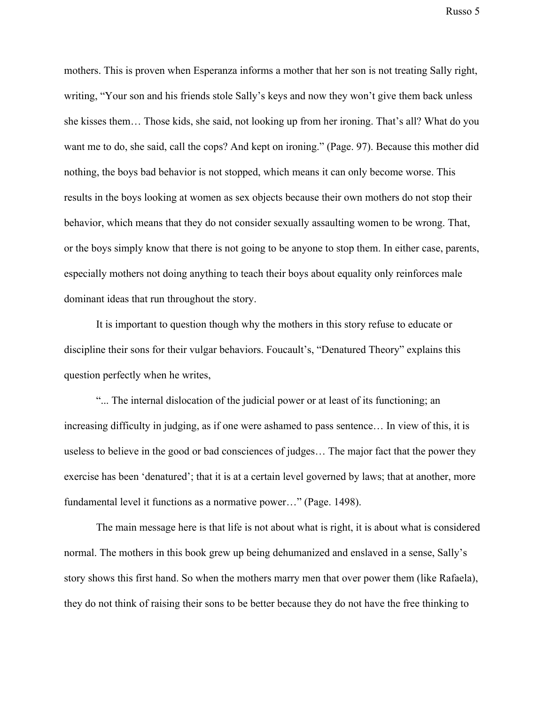mothers. This is proven when Esperanza informs a mother that her son is not treating Sally right, writing, "Your son and his friends stole Sally's keys and now they won't give them back unless she kisses them… Those kids, she said, not looking up from her ironing. That's all? What do you want me to do, she said, call the cops? And kept on ironing." (Page. 97). Because this mother did nothing, the boys bad behavior is not stopped, which means it can only become worse. This results in the boys looking at women as sex objects because their own mothers do not stop their behavior, which means that they do not consider sexually assaulting women to be wrong. That, or the boys simply know that there is not going to be anyone to stop them. In either case, parents, especially mothers not doing anything to teach their boys about equality only reinforces male dominant ideas that run throughout the story.

It is important to question though why the mothers in this story refuse to educate or discipline their sons for their vulgar behaviors. Foucault's, "Denatured Theory" explains this question perfectly when he writes,

"... The internal dislocation of the judicial power or at least of its functioning; an increasing difficulty in judging, as if one were ashamed to pass sentence… In view of this, it is useless to believe in the good or bad consciences of judges… The major fact that the power they exercise has been 'denatured'; that it is at a certain level governed by laws; that at another, more fundamental level it functions as a normative power…" (Page. 1498).

The main message here is that life is not about what is right, it is about what is considered normal. The mothers in this book grew up being dehumanized and enslaved in a sense, Sally's story shows this first hand. So when the mothers marry men that over power them (like Rafaela), they do not think of raising their sons to be better because they do not have the free thinking to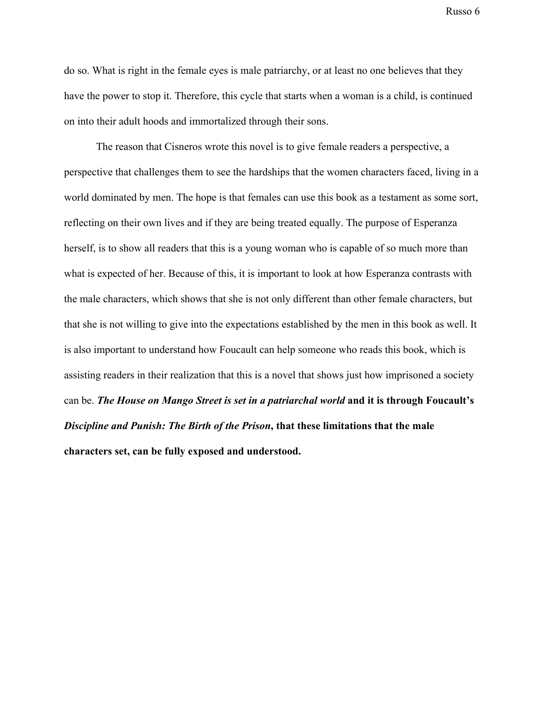do so. What is right in the female eyes is male patriarchy, or at least no one believes that they have the power to stop it. Therefore, this cycle that starts when a woman is a child, is continued on into their adult hoods and immortalized through their sons.

The reason that Cisneros wrote this novel is to give female readers a perspective, a perspective that challenges them to see the hardships that the women characters faced, living in a world dominated by men. The hope is that females can use this book as a testament as some sort, reflecting on their own lives and if they are being treated equally. The purpose of Esperanza herself, is to show all readers that this is a young woman who is capable of so much more than what is expected of her. Because of this, it is important to look at how Esperanza contrasts with the male characters, which shows that she is not only different than other female characters, but that she is not willing to give into the expectations established by the men in this book as well. It is also important to understand how Foucault can help someone who reads this book, which is assisting readers in their realization that this is a novel that shows just how imprisoned a society can be. *The House on Mango Street is set in a patriarchal world* **and it is through Foucault's** *Discipline and Punish: The Birth of the Prison***, that these limitations that the male characters set, can be fully exposed and understood.**